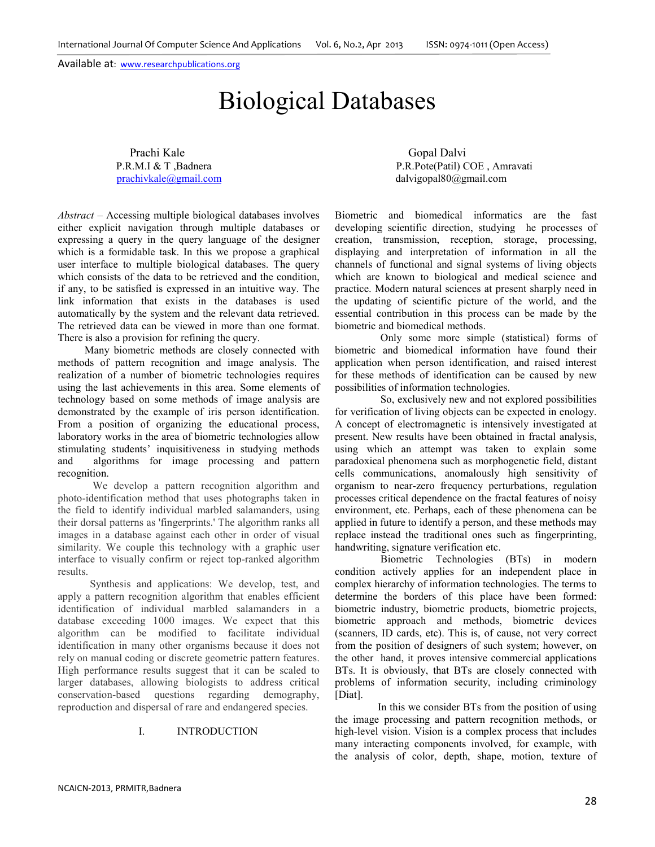International Journal Of Computer Science And Applications Vol. 6, No.2, Apr 2013 ISSN: 0974-1011 (Open Access)

Available at: www.researchpublications.org

# Biological Databases

Prachi Kale Gopal Dalvi<br>
P.R.M.I & T. Badnera<br>
P.R.Pote(Patil) C

P.R.Pote(Patil) COE, Amravati prachivkale@gmail.com dalvigopal80@gmail.com

*Abstract* – Accessing multiple biological databases involves either explicit navigation through multiple databases or expressing a query in the query language of the designer which is a formidable task. In this we propose a graphical user interface to multiple biological databases. The query which consists of the data to be retrieved and the condition, if any, to be satisfied is expressed in an intuitive way. The link information that exists in the databases is used automatically by the system and the relevant data retrieved. The retrieved data can be viewed in more than one format. There is also a provision for refining the query.

 Many biometric methods are closely connected with methods of pattern recognition and image analysis. The realization of a number of biometric technologies requires using the last achievements in this area. Some elements of technology based on some methods of image analysis are demonstrated by the example of iris person identification. From a position of organizing the educational process, laboratory works in the area of biometric technologies allow stimulating students' inquisitiveness in studying methods and algorithms for image processing and pattern recognition.

 We develop a pattern recognition algorithm and photo-identification method that uses photographs taken in the field to identify individual marbled salamanders, using their dorsal patterns as 'fingerprints.' The algorithm ranks all images in a database against each other in order of visual similarity. We couple this technology with a graphic user interface to visually confirm or reject top-ranked algorithm results.

 Synthesis and applications: We develop, test, and apply a pattern recognition algorithm that enables efficient identification of individual marbled salamanders in a database exceeding 1000 images. We expect that this algorithm can be modified to facilitate individual identification in many other organisms because it does not rely on manual coding or discrete geometric pattern features. High performance results suggest that it can be scaled to larger databases, allowing biologists to address critical conservation-based questions regarding demography, reproduction and dispersal of rare and endangered species.

# I. INTRODUCTION

Biometric and biomedical informatics are the fast developing scientific direction, studying he processes of creation, transmission, reception, storage, processing, displaying and interpretation of information in all the channels of functional and signal systems of living objects which are known to biological and medical science and practice. Modern natural sciences at present sharply need in the updating of scientific picture of the world, and the essential contribution in this process can be made by the biometric and biomedical methods.

 Only some more simple (statistical) forms of biometric and biomedical information have found their application when person identification, and raised interest for these methods of identification can be caused by new possibilities of information technologies.

 So, exclusively new and not explored possibilities for verification of living objects can be expected in enology. A concept of electromagnetic is intensively investigated at present. New results have been obtained in fractal analysis, using which an attempt was taken to explain some paradoxical phenomena such as morphogenetic field, distant cells communications, anomalously high sensitivity of organism to near-zero frequency perturbations, regulation processes critical dependence on the fractal features of noisy environment, etc. Perhaps, each of these phenomena can be applied in future to identify a person, and these methods may replace instead the traditional ones such as fingerprinting, handwriting, signature verification etc.

 Biometric Technologies (BTs) in modern condition actively applies for an independent place in complex hierarchy of information technologies. The terms to determine the borders of this place have been formed: biometric industry, biometric products, biometric projects, biometric approach and methods, biometric devices (scanners, ID cards, etc). This is, of cause, not very correct from the position of designers of such system; however, on the other hand, it proves intensive commercial applications BTs. It is obviously, that BTs are closely connected with problems of information security, including criminology [Diat].

 In this we consider BTs from the position of using the image processing and pattern recognition methods, or high-level vision. Vision is a complex process that includes many interacting components involved, for example, with the analysis of color, depth, shape, motion, texture of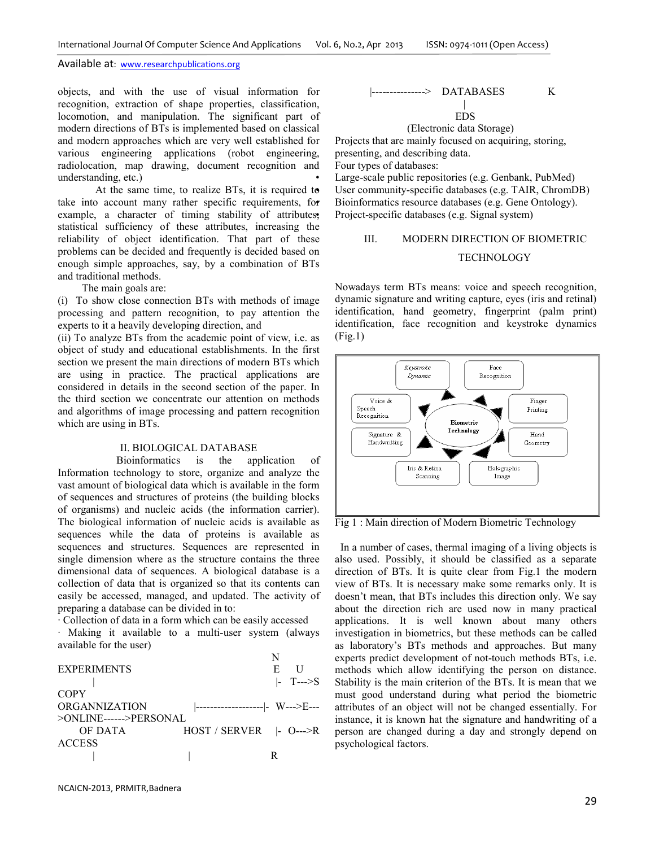#### Available at: www.researchpublications.org

objects, and with the use of visual information for recognition, extraction of shape properties, classification, locomotion, and manipulation. The significant part of modern directions of BTs is implemented based on classical and modern approaches which are very well established for various engineering applications (robot engineering, radiolocation, map drawing, document recognition and understanding, etc.)

 At the same time, to realize BTs, it is required to take into account many rather specific requirements, for example, a character of timing stability of attributes, statistical sufficiency of these attributes, increasing the reliability of object identification. That part of these problems can be decided and frequently is decided based on enough simple approaches, say, by a combination of BTs and traditional methods.

The main goals are:

(i) To show close connection BTs with methods of image processing and pattern recognition, to pay attention the experts to it a heavily developing direction, and

(ii) To analyze BTs from the academic point of view, i.e. as object of study and educational establishments. In the first section we present the main directions of modern BTs which are using in practice. The practical applications are considered in details in the second section of the paper. In the third section we concentrate our attention on methods and algorithms of image processing and pattern recognition which are using in BTs.

#### II. BIOLOGICAL DATABASE

 Bioinformatics is the application of Information technology to store, organize and analyze the vast amount of biological data which is available in the form of sequences and structures of proteins (the building blocks of organisms) and nucleic acids (the information carrier). The biological information of nucleic acids is available as sequences while the data of proteins is available as sequences and structures. Sequences are represented in single dimension where as the structure contains the three dimensional data of sequences. A biological database is a collection of data that is organized so that its contents can easily be accessed, managed, and updated. The activity of preparing a database can be divided in to:

· Collection of data in a form which can be easily accessed

· Making it available to a multi-user system (always available for the user)

|                                 | E.                                  |
|---------------------------------|-------------------------------------|
|                                 | $\left  -\right $ T $\rightarrow$ S |
|                                 |                                     |
| ------------------- - W--->E--- |                                     |
| $>$ ONLINE------ $>$ PERSONAL   |                                     |
| $HOST / SERVER$ - 0--->R        |                                     |
|                                 |                                     |
|                                 |                                     |
|                                 |                                     |

### |---------------> DATABASES K |

EDS

#### (Electronic data Storage)

Projects that are mainly focused on acquiring, storing, presenting, and describing data. Four types of databases: Large-scale public repositories (e.g. Genbank, PubMed) User community-specific databases (e.g. TAIR, ChromDB)

• Bioinformatics resource databases (e.g. Gene Ontology). • Project-specific databases (e.g. Signal system)

# III. MODERN DIRECTION OF BIOMETRIC

# **TECHNOLOGY**

Nowadays term BTs means: voice and speech recognition, dynamic signature and writing capture, eyes (iris and retinal) identification, hand geometry, fingerprint (palm print) identification, face recognition and keystroke dynamics (Fig.1)



Fig 1 : Main direction of Modern Biometric Technology

 In a number of cases, thermal imaging of a living objects is also used. Possibly, it should be classified as a separate direction of BTs. It is quite clear from Fig.1 the modern view of BTs. It is necessary make some remarks only. It is doesn't mean, that BTs includes this direction only. We say about the direction rich are used now in many practical applications. It is well known about many others investigation in biometrics, but these methods can be called as laboratory's BTs methods and approaches. But many experts predict development of not-touch methods BTs, i.e. methods which allow identifying the person on distance. Stability is the main criterion of the BTs. It is mean that we must good understand during what period the biometric attributes of an object will not be changed essentially. For instance, it is known hat the signature and handwriting of a person are changed during a day and strongly depend on psychological factors.